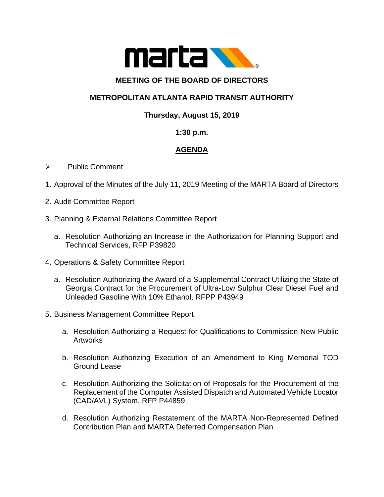

#### **MEETING OF THE BOARD OF DIRECTORS**

## **METROPOLITAN ATLANTA RAPID TRANSIT AUTHORITY**

### **Thursday, August 15, 2019**

#### **1:30 p.m.**

# **AGENDA**

- ➢ Public Comment
- 1. Approval of the Minutes of the July 11, 2019 Meeting of the MARTA Board of Directors
- 2. Audit Committee Report
- 3. Planning & External Relations Committee Report
	- a. Resolution Authorizing an Increase in the Authorization for Planning Support and Technical Services, RFP P39820
- 4. Operations & Safety Committee Report
	- a. Resolution Authorizing the Award of a Supplemental Contract Utilizing the State of Georgia Contract for the Procurement of Ultra-Low Sulphur Clear Diesel Fuel and Unleaded Gasoline With 10% Ethanol, RFPP P43949
- 5. Business Management Committee Report
	- a. Resolution Authorizing a Request for Qualifications to Commission New Public Artworks
	- b. Resolution Authorizing Execution of an Amendment to King Memorial TOD Ground Lease
	- c. Resolution Authorizing the Solicitation of Proposals for the Procurement of the Replacement of the Computer Assisted Dispatch and Automated Vehicle Locator (CAD/AVL) System, RFP P44859
	- d. Resolution Authorizing Restatement of the MARTA Non-Represented Defined Contribution Plan and MARTA Deferred Compensation Plan